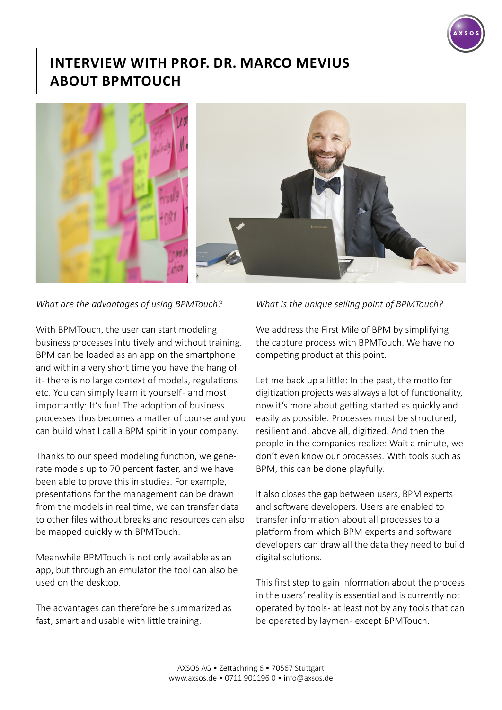

## **INTERVIEW WITH PROF. DR. MARCO MEVIUS ABOUT BPMTOUCH**



## *What are the advantages of using BPMTouch?*

With BPMTouch, the user can start modeling business processes intuitively and without training. BPM can be loaded as an app on the smartphone and within a very short time you have the hang of it - there is no large context of models, regulations etc. You can simply learn it yourself- and most importantly: It's fun! The adoption of business processes thus becomes a matter of course and you can build what I call a BPM spirit in your company.

Thanks to our speed modeling function, we generate models up to 70 percent faster, and we have been able to prove this in studies. For example, presentations for the management can be drawn from the models in real time, we can transfer data to other files without breaks and resources can also be mapped quickly with BPMTouch.

Meanwhile BPMTouch is not only available as an app, but through an emulator the tool can also be used on the desktop.

The advantages can therefore be summarized as fast, smart and usable with little training.

## *What is the unique selling point of BPMTouch?*

We address the First Mile of BPM by simplifying the capture process with BPMTouch. We have no competing product at this point.

Let me back up a little: In the past, the motto for digitization projects was always a lot of functionality, now it's more about getting started as quickly and easily as possible. Processes must be structured, resilient and, above all, digitized. And then the people in the companies realize: Wait a minute, we don't even know our processes. With tools such as BPM, this can be done playfully.

It also closes the gap between users, BPM experts and software developers. Users are enabled to transfer information about all processes to a platform from which BPM experts and software developers can draw all the data they need to build digital solutions.

This first step to gain information about the process in the users' reality is essential and is currently not operated by tools - at least not by any tools that can be operated by laymen- except BPMTouch.